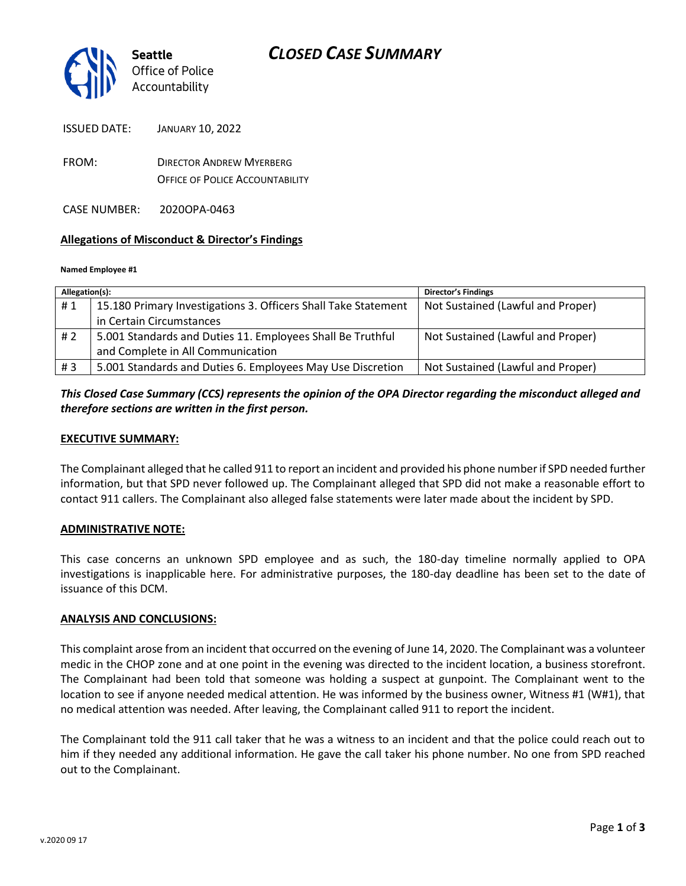

ISSUED DATE: JANUARY 10, 2022

FROM: DIRECTOR ANDREW MYERBERG OFFICE OF POLICE ACCOUNTABILITY

CASE NUMBER: 2020OPA-0463

### **Allegations of Misconduct & Director's Findings**

#### **Named Employee #1**

| Allegation(s): |                                                                | <b>Director's Findings</b>        |
|----------------|----------------------------------------------------------------|-----------------------------------|
| #1             | 15.180 Primary Investigations 3. Officers Shall Take Statement | Not Sustained (Lawful and Proper) |
|                | in Certain Circumstances                                       |                                   |
| # 2            | 5.001 Standards and Duties 11. Employees Shall Be Truthful     | Not Sustained (Lawful and Proper) |
|                | and Complete in All Communication                              |                                   |
| #3             | 5.001 Standards and Duties 6. Employees May Use Discretion     | Not Sustained (Lawful and Proper) |

## *This Closed Case Summary (CCS) represents the opinion of the OPA Director regarding the misconduct alleged and therefore sections are written in the first person.*

### **EXECUTIVE SUMMARY:**

The Complainant alleged that he called 911 to report an incident and provided his phone number if SPD needed further information, but that SPD never followed up. The Complainant alleged that SPD did not make a reasonable effort to contact 911 callers. The Complainant also alleged false statements were later made about the incident by SPD.

### **ADMINISTRATIVE NOTE:**

This case concerns an unknown SPD employee and as such, the 180-day timeline normally applied to OPA investigations is inapplicable here. For administrative purposes, the 180-day deadline has been set to the date of issuance of this DCM.

### **ANALYSIS AND CONCLUSIONS:**

This complaint arose from an incident that occurred on the evening of June 14, 2020. The Complainant was a volunteer medic in the CHOP zone and at one point in the evening was directed to the incident location, a business storefront. The Complainant had been told that someone was holding a suspect at gunpoint. The Complainant went to the location to see if anyone needed medical attention. He was informed by the business owner, Witness #1 (W#1), that no medical attention was needed. After leaving, the Complainant called 911 to report the incident.

The Complainant told the 911 call taker that he was a witness to an incident and that the police could reach out to him if they needed any additional information. He gave the call taker his phone number. No one from SPD reached out to the Complainant.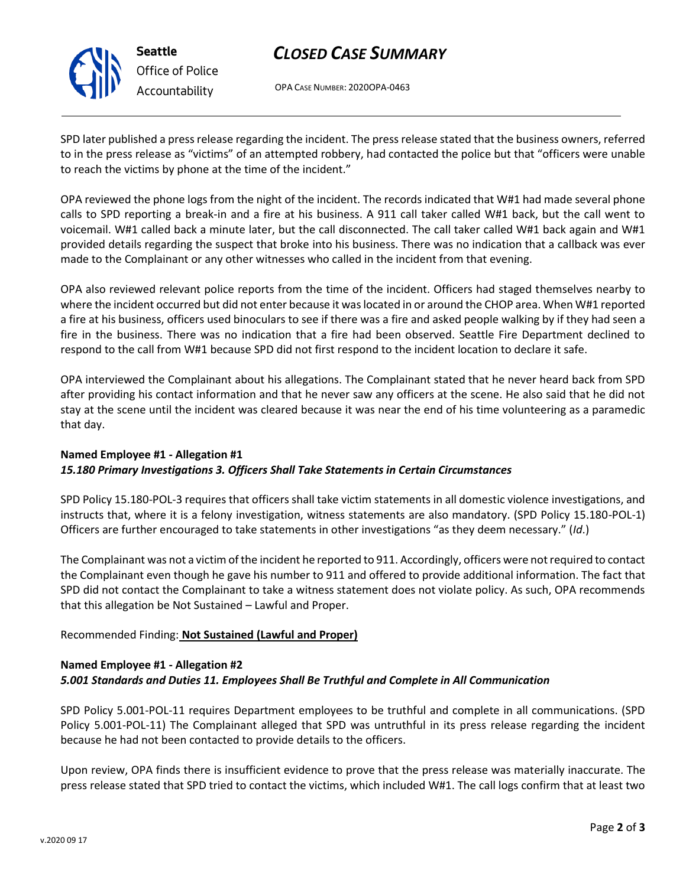

**Seattle** *Office of Police Accountability*

# *CLOSED CASE SUMMARY*

OPA CASE NUMBER: 2020OPA-0463

SPD later published a press release regarding the incident. The press release stated that the business owners, referred to in the press release as "victims" of an attempted robbery, had contacted the police but that "officers were unable to reach the victims by phone at the time of the incident."

OPA reviewed the phone logs from the night of the incident. The records indicated that W#1 had made several phone calls to SPD reporting a break-in and a fire at his business. A 911 call taker called W#1 back, but the call went to voicemail. W#1 called back a minute later, but the call disconnected. The call taker called W#1 back again and W#1 provided details regarding the suspect that broke into his business. There was no indication that a callback was ever made to the Complainant or any other witnesses who called in the incident from that evening.

OPA also reviewed relevant police reports from the time of the incident. Officers had staged themselves nearby to where the incident occurred but did not enter because it was located in or around the CHOP area. When W#1 reported a fire at his business, officers used binoculars to see if there was a fire and asked people walking by if they had seen a fire in the business. There was no indication that a fire had been observed. Seattle Fire Department declined to respond to the call from W#1 because SPD did not first respond to the incident location to declare it safe.

OPA interviewed the Complainant about his allegations. The Complainant stated that he never heard back from SPD after providing his contact information and that he never saw any officers at the scene. He also said that he did not stay at the scene until the incident was cleared because it was near the end of his time volunteering as a paramedic that day.

# **Named Employee #1 - Allegation #1** *15.180 Primary Investigations 3. Officers Shall Take Statements in Certain Circumstances*

SPD Policy 15.180-POL-3 requires that officers shall take victim statements in all domestic violence investigations, and instructs that, where it is a felony investigation, witness statements are also mandatory. (SPD Policy 15.180-POL-1) Officers are further encouraged to take statements in other investigations "as they deem necessary." (*Id*.)

The Complainant was not a victim of the incident he reported to 911. Accordingly, officers were not required to contact the Complainant even though he gave his number to 911 and offered to provide additional information. The fact that SPD did not contact the Complainant to take a witness statement does not violate policy. As such, OPA recommends that this allegation be Not Sustained – Lawful and Proper.

# Recommended Finding: **Not Sustained (Lawful and Proper)**

# **Named Employee #1 - Allegation #2** *5.001 Standards and Duties 11. Employees Shall Be Truthful and Complete in All Communication*

SPD Policy 5.001-POL-11 requires Department employees to be truthful and complete in all communications. (SPD Policy 5.001-POL-11) The Complainant alleged that SPD was untruthful in its press release regarding the incident because he had not been contacted to provide details to the officers.

Upon review, OPA finds there is insufficient evidence to prove that the press release was materially inaccurate. The press release stated that SPD tried to contact the victims, which included W#1. The call logs confirm that at least two